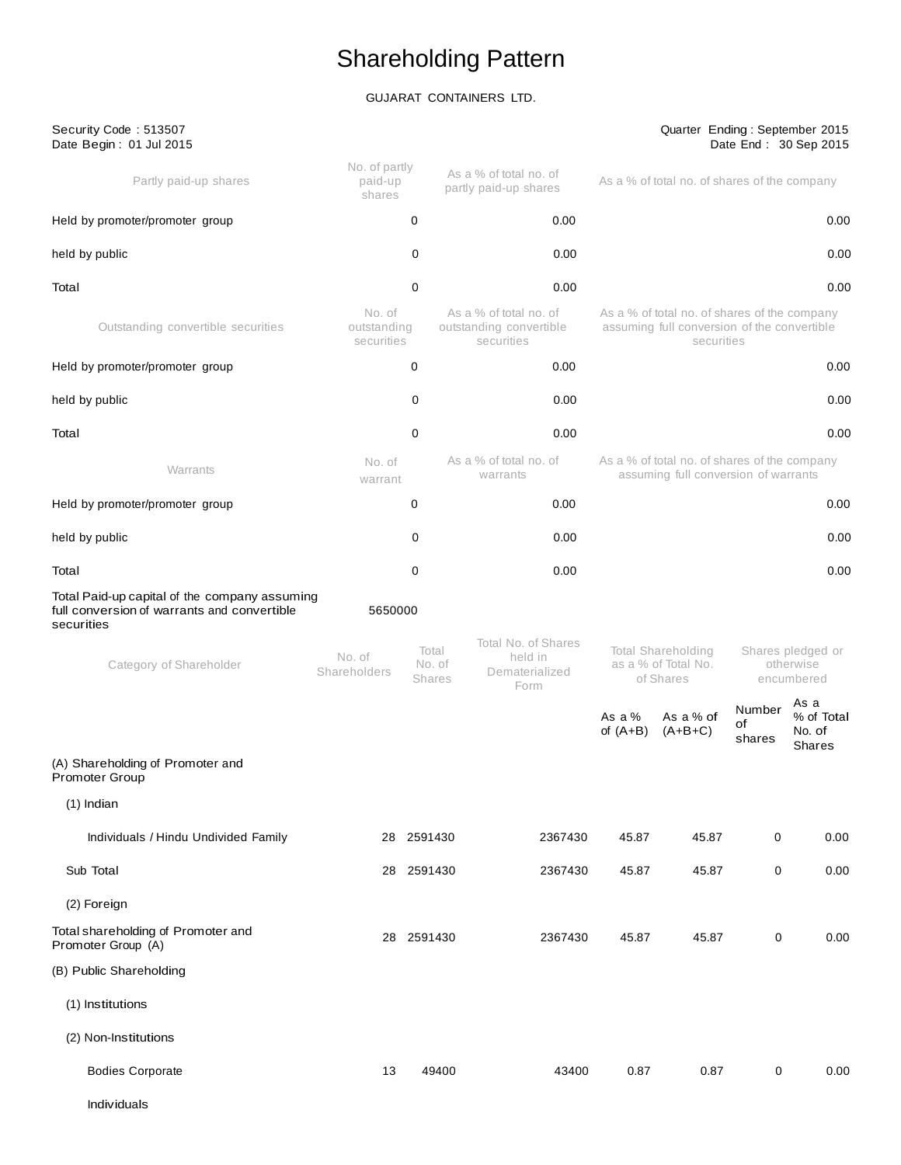# Shareholding Pattern

## GUJARAT CONTAINERS LTD.

| Security Code: 513507<br>Date Begin: 01 Jul 2015                                                           |                                     |                                  |                                                                 |                                                                                                           | Quarter Ending: September 2015                                                                                |                        | Date End: 30 Sep 2015                  |
|------------------------------------------------------------------------------------------------------------|-------------------------------------|----------------------------------|-----------------------------------------------------------------|-----------------------------------------------------------------------------------------------------------|---------------------------------------------------------------------------------------------------------------|------------------------|----------------------------------------|
| Partly paid-up shares                                                                                      | No. of partly<br>paid-up<br>shares  |                                  | As a % of total no. of<br>partly paid-up shares                 |                                                                                                           | As a % of total no. of shares of the company                                                                  |                        |                                        |
| Held by promoter/promoter group                                                                            |                                     | 0                                | 0.00                                                            |                                                                                                           |                                                                                                               |                        | 0.00                                   |
| held by public                                                                                             |                                     | 0                                | 0.00                                                            |                                                                                                           |                                                                                                               |                        | 0.00                                   |
| Total                                                                                                      |                                     | 0                                | 0.00                                                            |                                                                                                           |                                                                                                               |                        | 0.00                                   |
| Outstanding convertible securities                                                                         | No. of<br>outstanding<br>securities |                                  | As a % of total no. of<br>outstanding convertible<br>securities | As a % of total no. of shares of the company<br>assuming full conversion of the convertible<br>securities |                                                                                                               |                        |                                        |
| Held by promoter/promoter group                                                                            |                                     | 0                                | 0.00                                                            |                                                                                                           |                                                                                                               |                        | 0.00                                   |
| held by public                                                                                             |                                     | 0                                | 0.00                                                            |                                                                                                           |                                                                                                               |                        | 0.00                                   |
| Total                                                                                                      |                                     | 0                                | 0.00                                                            |                                                                                                           |                                                                                                               |                        | 0.00                                   |
| Warrants                                                                                                   | No. of<br>warrant                   |                                  | As a % of total no. of<br>warrants                              |                                                                                                           | As a % of total no. of shares of the company<br>assuming full conversion of warrants                          |                        |                                        |
| Held by promoter/promoter group                                                                            |                                     | 0                                | 0.00                                                            |                                                                                                           |                                                                                                               |                        | 0.00                                   |
| held by public                                                                                             |                                     | 0                                | 0.00                                                            |                                                                                                           |                                                                                                               |                        | 0.00                                   |
| Total                                                                                                      |                                     | 0                                | 0.00                                                            |                                                                                                           |                                                                                                               |                        | 0.00                                   |
| Total Paid-up capital of the company assuming<br>full conversion of warrants and convertible<br>securities | 5650000                             |                                  |                                                                 |                                                                                                           |                                                                                                               |                        |                                        |
| Category of Shareholder                                                                                    | No. of<br>Shareholders              | Total<br>No. of<br><b>Shares</b> | Total No. of Shares<br>held in<br>Dematerialized<br>Form        |                                                                                                           | <b>Total Shareholding</b><br>Shares pledged or<br>as a % of Total No.<br>otherwise<br>of Shares<br>encumbered |                        |                                        |
|                                                                                                            |                                     |                                  |                                                                 | As a %<br>of $(A+B)$                                                                                      | As a % of<br>$(A+B+C)$                                                                                        | Number<br>οf<br>shares | As a<br>% of Total<br>No. of<br>Shares |
| (A) Shareholding of Promoter and<br>Promoter Group                                                         |                                     |                                  |                                                                 |                                                                                                           |                                                                                                               |                        |                                        |
| $(1)$ Indian                                                                                               |                                     |                                  |                                                                 |                                                                                                           |                                                                                                               |                        |                                        |
| Individuals / Hindu Undivided Family                                                                       |                                     | 28 2591430                       | 2367430                                                         | 45.87                                                                                                     | 45.87                                                                                                         | 0                      | 0.00                                   |
| Sub Total                                                                                                  | 28                                  | 2591430                          | 2367430                                                         | 45.87                                                                                                     | 45.87                                                                                                         | 0                      | 0.00                                   |
| (2) Foreign                                                                                                |                                     |                                  |                                                                 |                                                                                                           |                                                                                                               |                        |                                        |
| Total shareholding of Promoter and<br>Promoter Group (A)                                                   |                                     | 28 2591430                       | 2367430                                                         | 45.87                                                                                                     | 45.87                                                                                                         | 0                      | 0.00                                   |
| (B) Public Shareholding                                                                                    |                                     |                                  |                                                                 |                                                                                                           |                                                                                                               |                        |                                        |
| (1) Institutions                                                                                           |                                     |                                  |                                                                 |                                                                                                           |                                                                                                               |                        |                                        |
| (2) Non-Institutions                                                                                       |                                     |                                  |                                                                 |                                                                                                           |                                                                                                               |                        |                                        |
| <b>Bodies Corporate</b>                                                                                    | 13                                  | 49400                            | 43400                                                           | 0.87                                                                                                      | 0.87                                                                                                          | 0                      | 0.00                                   |
| Individuals                                                                                                |                                     |                                  |                                                                 |                                                                                                           |                                                                                                               |                        |                                        |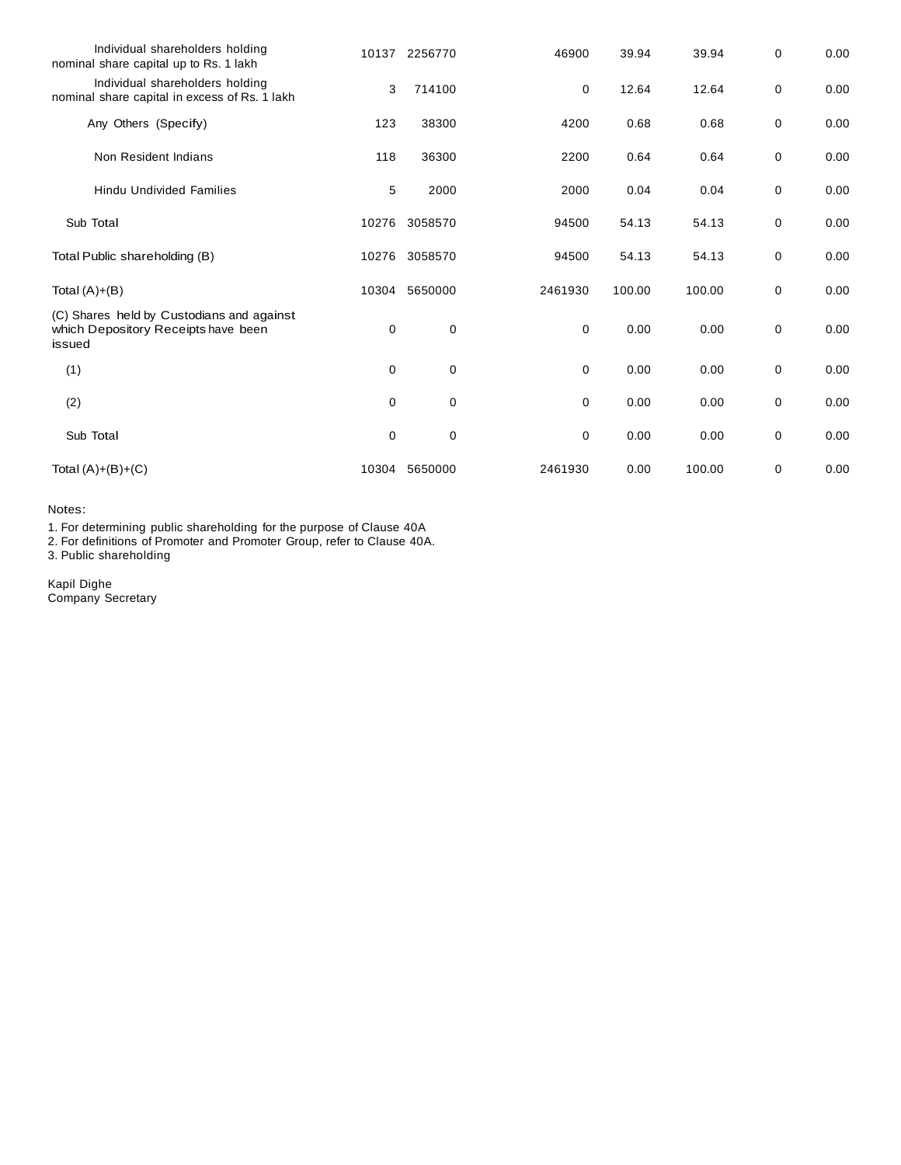| Individual shareholders holding<br>nominal share capital up to Rs. 1 lakh                  | 10137       | 2256770     | 46900       | 39.94  | 39.94  | 0 | 0.00 |
|--------------------------------------------------------------------------------------------|-------------|-------------|-------------|--------|--------|---|------|
| Individual shareholders holding<br>nominal share capital in excess of Rs. 1 lakh           | 3           | 714100      | 0           | 12.64  | 12.64  | 0 | 0.00 |
| Any Others (Specify)                                                                       | 123         | 38300       | 4200        | 0.68   | 0.68   | 0 | 0.00 |
| Non Resident Indians                                                                       | 118         | 36300       | 2200        | 0.64   | 0.64   | 0 | 0.00 |
| <b>Hindu Undivided Families</b>                                                            | 5           | 2000        | 2000        | 0.04   | 0.04   | 0 | 0.00 |
| Sub Total                                                                                  | 10276       | 3058570     | 94500       | 54.13  | 54.13  | 0 | 0.00 |
| Total Public shareholding (B)                                                              | 10276       | 3058570     | 94500       | 54.13  | 54.13  | 0 | 0.00 |
| Total $(A)+(B)$                                                                            | 10304       | 5650000     | 2461930     | 100.00 | 100.00 | 0 | 0.00 |
| (C) Shares held by Custodians and against<br>which Depository Receipts have been<br>issued | 0           | 0           | 0           | 0.00   | 0.00   | 0 | 0.00 |
| (1)                                                                                        | 0           | $\mathbf 0$ | 0           | 0.00   | 0.00   | 0 | 0.00 |
| (2)                                                                                        | $\mathbf 0$ | 0           | $\mathbf 0$ | 0.00   | 0.00   | 0 | 0.00 |
| Sub Total                                                                                  | 0           | $\mathbf 0$ | 0           | 0.00   | 0.00   | 0 | 0.00 |
| Total $(A)+(B)+(C)$                                                                        | 10304       | 5650000     | 2461930     | 0.00   | 100.00 | 0 | 0.00 |

Notes:

1. For determining public shareholding for the purpose of Clause 40A

2. For definitions of Promoter and Promoter Group, refer to Clause 40A.

3. Public shareholding

Kapil Dighe Company Secretary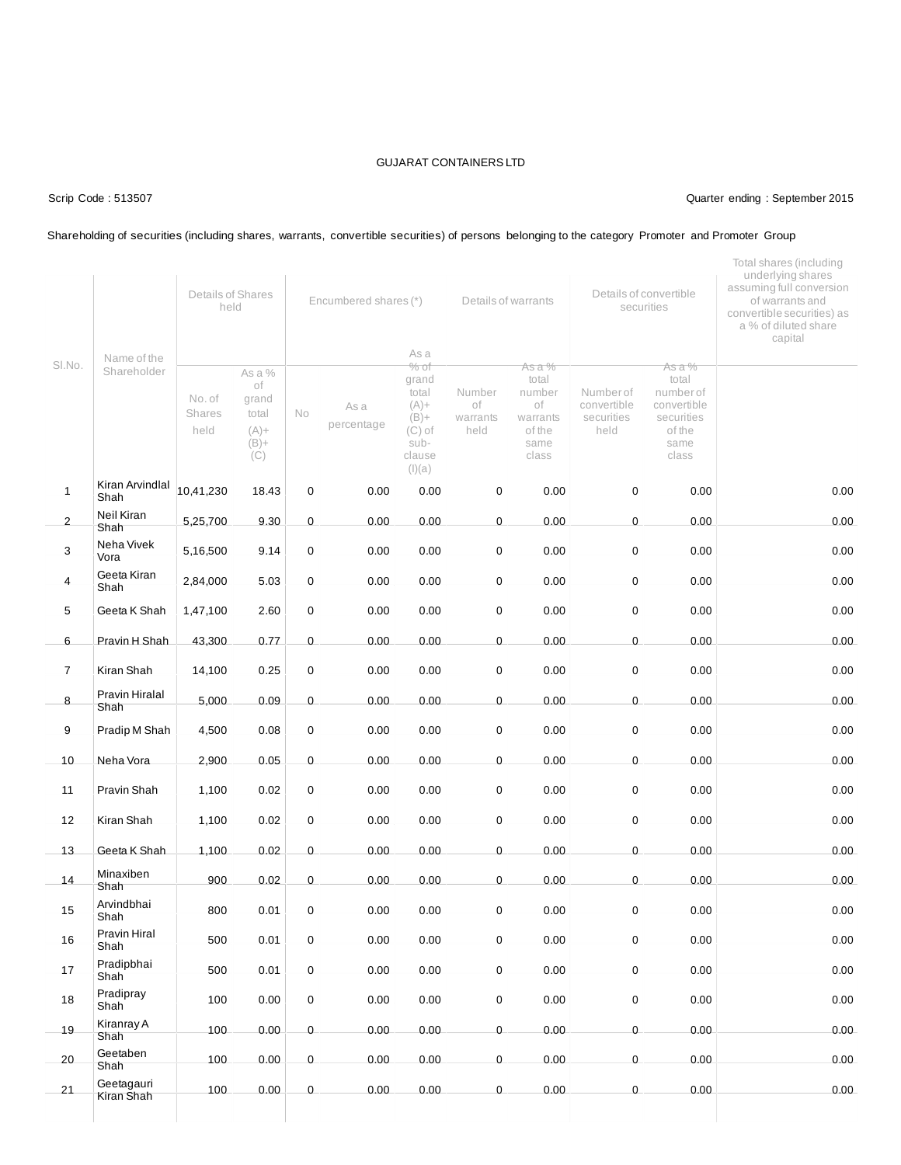### Scrip Code : 513507 Quarter ending : September 2015

### Shareholding of securities (including shares, warrants, convertible securities) of persons belonging to the category Promoter and Promoter Group

|                |                            | Details of Shares<br>held |                                                             | Encumbered shares (*) |                    |                                                                                                | Details of warrants              |                                                                        | Details of convertible<br>securities           |                                                                                      | Total shares (including<br>underlying shares<br>assuming full conversion<br>of warrants and<br>convertible securities) as<br>a % of diluted share<br>capital |
|----------------|----------------------------|---------------------------|-------------------------------------------------------------|-----------------------|--------------------|------------------------------------------------------------------------------------------------|----------------------------------|------------------------------------------------------------------------|------------------------------------------------|--------------------------------------------------------------------------------------|--------------------------------------------------------------------------------------------------------------------------------------------------------------|
| SI.No.         | Name of the<br>Shareholder | No. of<br>Shares<br>held  | As a %<br>of<br>grand<br>total<br>$(A) +$<br>$(B) +$<br>(C) | No                    | As a<br>percentage | As a<br>$%$ of<br>grand<br>total<br>$(A) +$<br>$(B) +$<br>$(C)$ of<br>sub-<br>clause<br>(I)(a) | Number<br>оf<br>warrants<br>held | As a %<br>total<br>number<br>οf<br>warrants<br>of the<br>same<br>class | Number of<br>convertible<br>securities<br>held | As a %<br>total<br>number of<br>convertible<br>securities<br>of the<br>same<br>class |                                                                                                                                                              |
| $\mathbf{1}$   | Kiran Arvindlal<br>Shah    | 10,41,230                 | 18.43                                                       | $\mathsf 0$           | 0.00               | 0.00                                                                                           | 0                                | 0.00                                                                   | $\pmb{0}$                                      | 0.00                                                                                 | 0.00                                                                                                                                                         |
| $\overline{c}$ | Neil Kiran<br>Shah         | 5,25,700                  | 9.30                                                        | 0                     | 0.00               | 0.00                                                                                           | $\pmb{0}$                        | 0.00                                                                   | $\pmb{0}$                                      | 0.00                                                                                 | 0.00                                                                                                                                                         |
| 3              | Neha Vivek<br>Vora         | 5,16,500                  | 9.14                                                        | 0                     | 0.00               | 0.00                                                                                           | 0                                | 0.00                                                                   | $\mathbf 0$                                    | 0.00                                                                                 | 0.00                                                                                                                                                         |
| 4              | Geeta Kiran<br>Shah        | 2,84,000                  | 5.03                                                        | $\mathbf 0$           | 0.00               | 0.00                                                                                           | 0                                | 0.00                                                                   | $\mathbf 0$                                    | 0.00                                                                                 | 0.00                                                                                                                                                         |
| 5              | Geeta K Shah               | 1,47,100                  | 2.60                                                        | $\mathsf 0$           | 0.00               | 0.00                                                                                           | 0                                | 0.00                                                                   | $\mathbf 0$                                    | 0.00                                                                                 | 0.00                                                                                                                                                         |
| 6              | Pravin H Shah              | 43,300                    | 0.77                                                        | 0                     | 0.00               | 0.00                                                                                           | 0                                | 0.00                                                                   | $\pmb{0}$                                      | 0.00                                                                                 | 0.00                                                                                                                                                         |
| $\overline{7}$ | Kiran Shah                 | 14,100                    | 0.25                                                        | 0                     | 0.00               | 0.00                                                                                           | 0                                | 0.00                                                                   | $\mathbf 0$                                    | 0.00                                                                                 | 0.00                                                                                                                                                         |
| 8              | Pravin Hiralal<br>Shah     | 5,000                     | 0.09                                                        | 0                     | 0.00               | 0.00                                                                                           | 0                                | 0.00                                                                   | $\mathbf 0$                                    | 0.00                                                                                 | 0.00                                                                                                                                                         |
| 9              | Pradip M Shah              | 4,500                     | 0.08                                                        | $\mathbf 0$           | 0.00               | 0.00                                                                                           | 0                                | 0.00                                                                   | $\mathbf 0$                                    | 0.00                                                                                 | 0.00                                                                                                                                                         |
| 10             | Neha Vora                  | 2,900                     | 0.05                                                        | $\mathsf 0$           | 0.00               | 0.00                                                                                           | $\pmb{0}$                        | 0.00                                                                   | $\mathbf 0$                                    | 0.00                                                                                 | 0.00                                                                                                                                                         |
| 11             | Pravin Shah                | 1,100                     | 0.02                                                        | $\mathbf 0$           | 0.00               | 0.00                                                                                           | 0                                | 0.00                                                                   | $\mathbf 0$                                    | 0.00                                                                                 | 0.00                                                                                                                                                         |
| 12             | Kiran Shah                 | 1,100                     | 0.02                                                        | 0                     | 0.00               | 0.00                                                                                           | 0                                | 0.00                                                                   | $\mathbf 0$                                    | 0.00                                                                                 | 0.00                                                                                                                                                         |
| 13             | Geeta K Shah               | 1,100                     | 0.02                                                        | 0                     | 0.00               | 0.00                                                                                           | 0                                | 0.00                                                                   | $\mathbf 0$                                    | 0.00                                                                                 | 0.00                                                                                                                                                         |
| 14             | Minaxiben<br>Shah          | 900                       | 0.02                                                        | 0                     | 0.00               | 0.00                                                                                           | 0                                | 0.00                                                                   | $\mathbf 0$                                    | 0.00                                                                                 | 0.00                                                                                                                                                         |
| 15             | Arvindbhai<br>Shah         | 800                       | 0.01                                                        | 0                     | 0.00               | 0.00                                                                                           | 0                                | 0.00                                                                   | 0                                              | 0.00                                                                                 | 0.00                                                                                                                                                         |
| 16             | Pravin Hiral<br>Shah       | 500                       | 0.01                                                        | $\mathbf 0$           | 0.00               | 0.00                                                                                           | 0                                | 0.00                                                                   | $\mathbf 0$                                    | 0.00                                                                                 | 0.00                                                                                                                                                         |
| 17             | Pradipbhai<br>Shah         | 500                       | 0.01                                                        | 0                     | 0.00               | 0.00                                                                                           | 0                                | 0.00                                                                   | $\mathbf 0$                                    | 0.00                                                                                 | 0.00                                                                                                                                                         |
| 18             | Pradipray<br>Shah          | 100                       | 0.00                                                        | 0                     | 0.00               | 0.00                                                                                           | 0                                | 0.00                                                                   | $\mathbf 0$                                    | 0.00                                                                                 | 0.00                                                                                                                                                         |
| 19             | Kiranray A<br>Shah         | 100                       | 0.00                                                        | 0                     | 0.00               | 0.00                                                                                           | 0                                | 0.00                                                                   | $\mathsf 0$                                    | 0.00                                                                                 | 0.00                                                                                                                                                         |
| 20             | Geetaben<br>Shah           | 100                       | 0.00                                                        | $\mathbf 0$           | 0.00               | 0.00                                                                                           | 0                                | 0.00                                                                   | $\mathbf 0$                                    | 0.00                                                                                 | 0.00                                                                                                                                                         |
| 21             | Geetagauri<br>Kiran Shah   | 100                       | 0.00                                                        | 0                     | 0.00               | 0.00                                                                                           | 0                                | 0.00                                                                   | $\mathbf 0$                                    | 0.00                                                                                 | 0.00                                                                                                                                                         |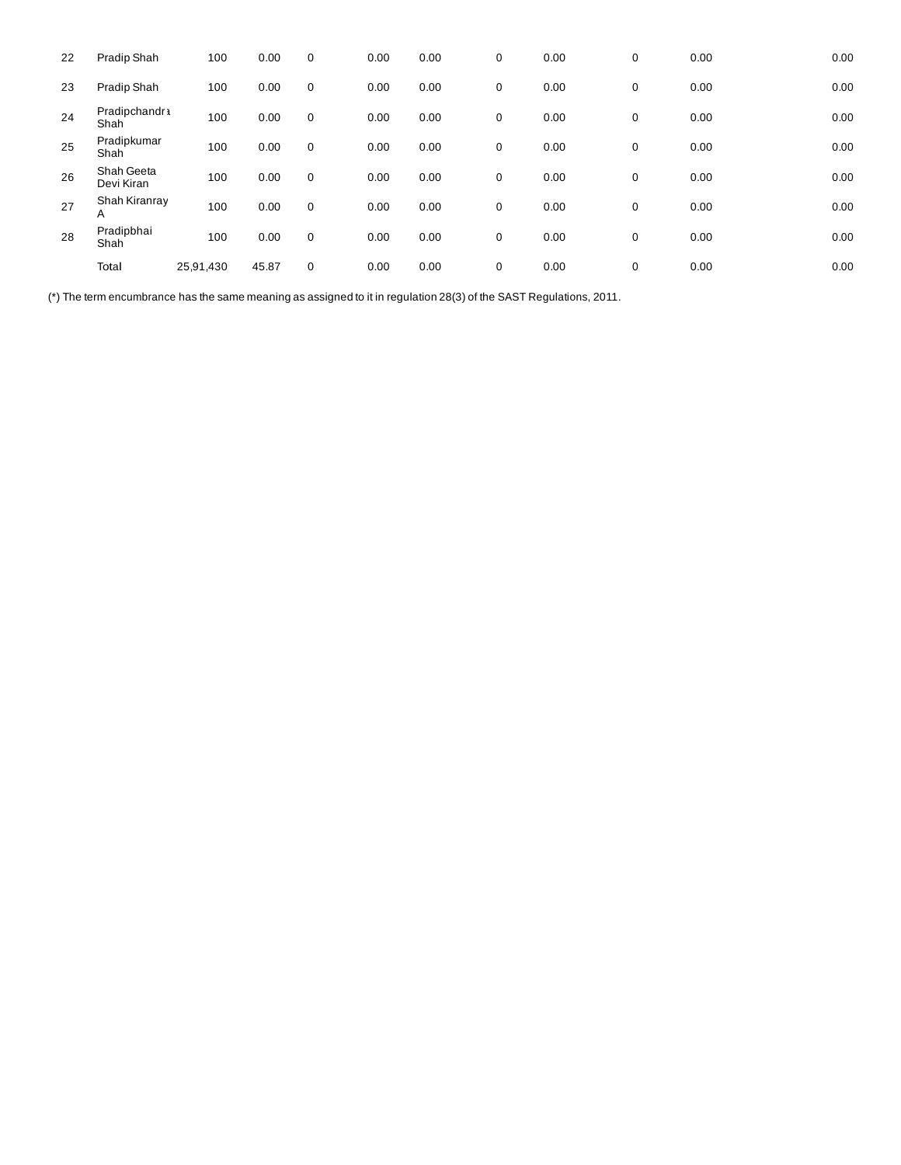| 22 | Pradip Shah              | 100       | 0.00  | 0           | 0.00 | 0.00 | 0           | 0.00 | 0 | 0.00 | 0.00 |
|----|--------------------------|-----------|-------|-------------|------|------|-------------|------|---|------|------|
| 23 | Pradip Shah              | 100       | 0.00  | $\mathbf 0$ | 0.00 | 0.00 | 0           | 0.00 | 0 | 0.00 | 0.00 |
| 24 | Pradipchandr 1<br>Shah   | 100       | 0.00  | $\mathbf 0$ | 0.00 | 0.00 | 0           | 0.00 | 0 | 0.00 | 0.00 |
| 25 | Pradipkumar<br>Shah      | 100       | 0.00  | $\mathbf 0$ | 0.00 | 0.00 | $\mathbf 0$ | 0.00 | 0 | 0.00 | 0.00 |
| 26 | Shah Geeta<br>Devi Kiran | 100       | 0.00  | $\mathbf 0$ | 0.00 | 0.00 | 0           | 0.00 | 0 | 0.00 | 0.00 |
| 27 | Shah Kiranray<br>Α       | 100       | 0.00  | $\mathbf 0$ | 0.00 | 0.00 | 0           | 0.00 | 0 | 0.00 | 0.00 |
| 28 | Pradipbhai<br>Shah       | 100       | 0.00  | $\mathbf 0$ | 0.00 | 0.00 | 0           | 0.00 | 0 | 0.00 | 0.00 |
|    | Total                    | 25,91,430 | 45.87 | $\mathbf 0$ | 0.00 | 0.00 | $\mathbf 0$ | 0.00 | 0 | 0.00 | 0.00 |

(\*) The term encumbrance has the same meaning as assigned to it in regulation 28(3) of the SAST Regulations, 2011.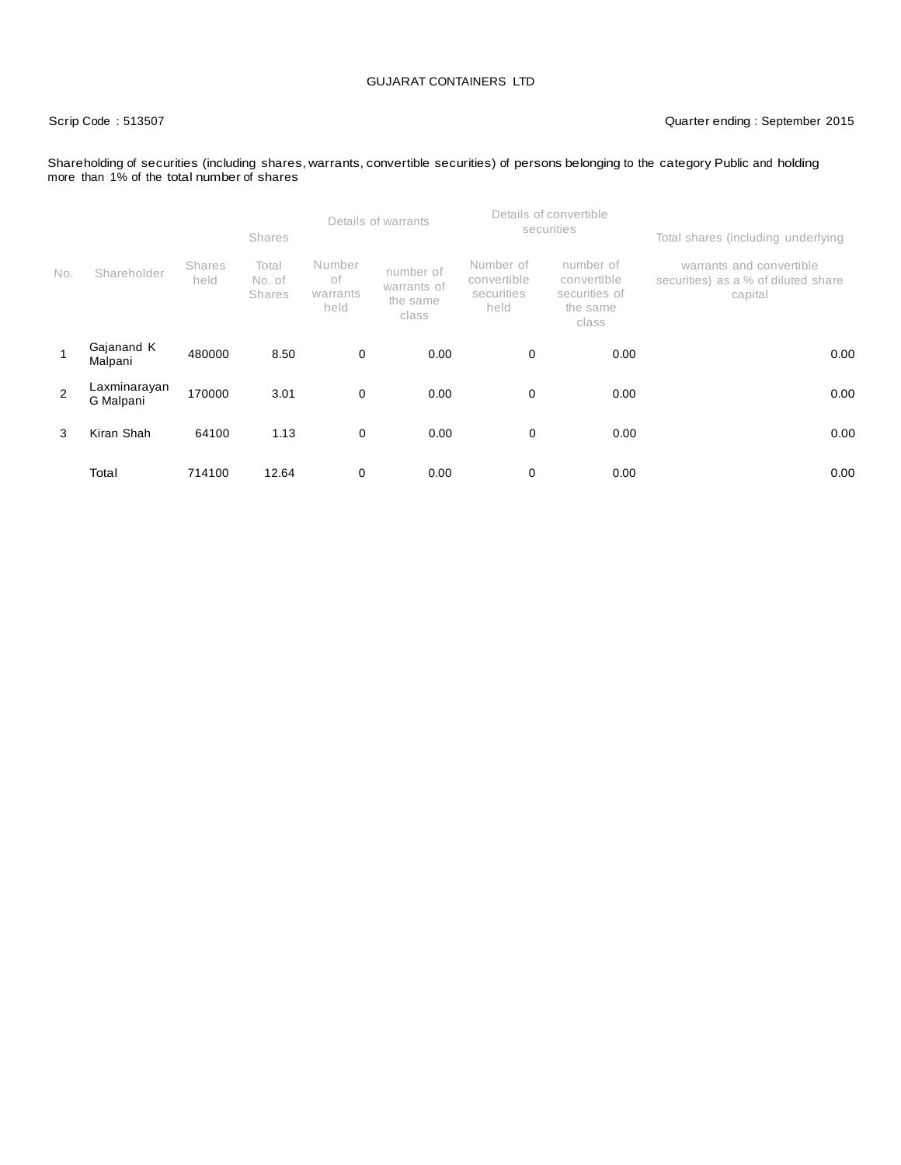### Scrip Code : 513507 Quarter ending : September 2015

### Shareholding of securities (including shares, warrants, convertible securities) of persons belonging to the category Public and holding more than 1% of the total number of shares

|                |                           |                       | <b>Shares</b>                    |                                  | Details of warrants                           |                                                | Details of convertible<br>securities                           | Total shares (including underlying                                         |  |
|----------------|---------------------------|-----------------------|----------------------------------|----------------------------------|-----------------------------------------------|------------------------------------------------|----------------------------------------------------------------|----------------------------------------------------------------------------|--|
| No.            | Shareholder               | <b>Shares</b><br>held | Total<br>No. of<br><b>Shares</b> | Number<br>оf<br>warrants<br>held | number of<br>warrants of<br>the same<br>class | Number of<br>convertible<br>securities<br>held | number of<br>convertible<br>securities of<br>the same<br>class | warrants and convertible<br>securities) as a % of diluted share<br>capital |  |
|                | Gajanand K<br>Malpani     | 480000                | 8.50                             | $\mathbf 0$                      | 0.00                                          | 0                                              | 0.00                                                           | 0.00                                                                       |  |
| $\overline{2}$ | Laxminarayan<br>G Malpani | 170000                | 3.01                             | $\mathbf 0$                      | 0.00                                          | 0                                              | 0.00                                                           | 0.00                                                                       |  |
| 3              | Kiran Shah                | 64100                 | 1.13                             | 0                                | 0.00                                          | 0                                              | 0.00                                                           | 0.00                                                                       |  |
|                | Total                     | 714100                | 12.64                            | 0                                | 0.00                                          | 0                                              | 0.00                                                           | 0.00                                                                       |  |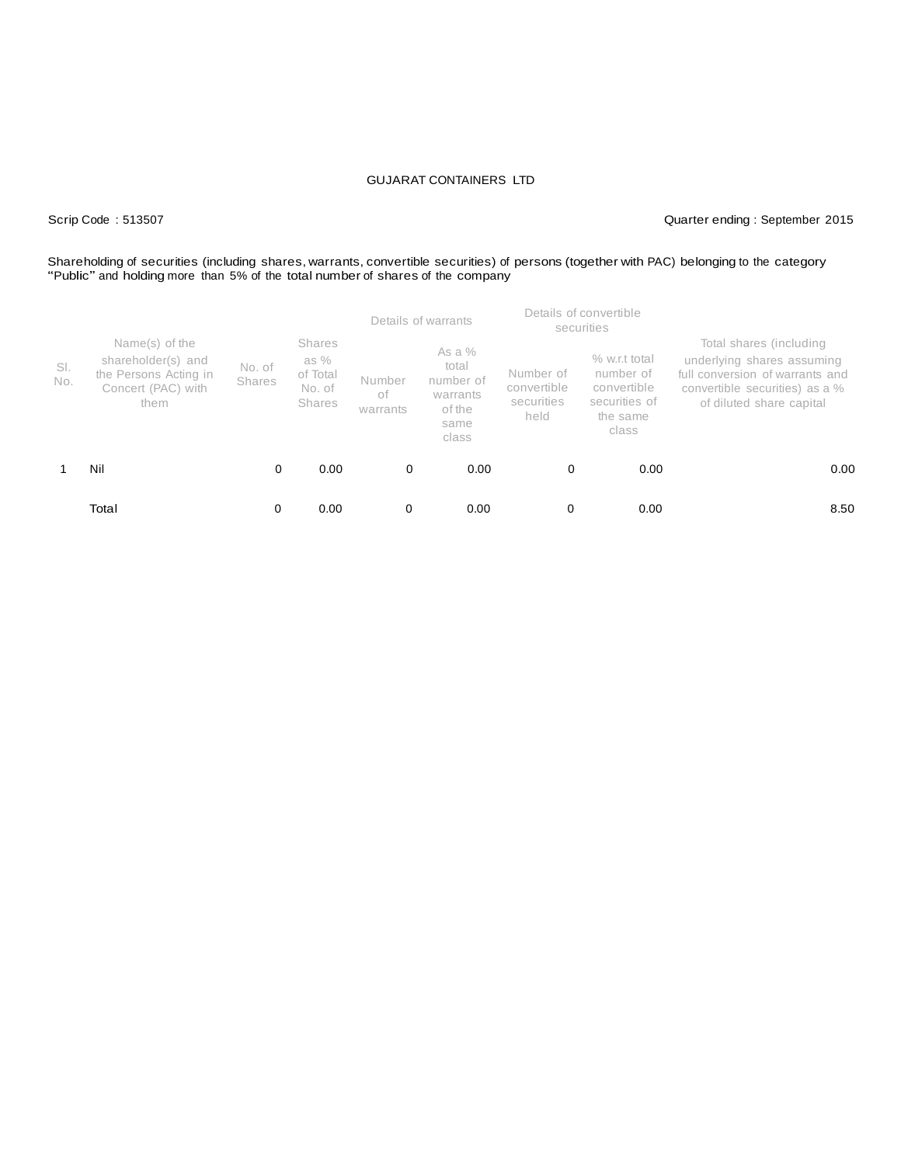### Scrip Code : 513507 Quarter ending : September 2015

## Shareholding of securities (including shares, warrants, convertible securities) of persons (together with PAC) belonging to the category "Public" and holding more than 5% of the total number of shares of the company

|            |                                                                                             |                         |                                                                |                          | Details of warrants                                                   |                                                | Details of convertible<br>securities                                            |                                                                                                                                                        |
|------------|---------------------------------------------------------------------------------------------|-------------------------|----------------------------------------------------------------|--------------------------|-----------------------------------------------------------------------|------------------------------------------------|---------------------------------------------------------------------------------|--------------------------------------------------------------------------------------------------------------------------------------------------------|
| SI.<br>No. | Name(s) of the<br>shareholder(s) and<br>the Persons Acting in<br>Concert (PAC) with<br>them | No. of<br><b>Shares</b> | <b>Shares</b><br>as $%$<br>of Total<br>No. of<br><b>Shares</b> | Number<br>οf<br>warrants | As a $%$<br>total<br>number of<br>warrants<br>of the<br>same<br>class | Number of<br>convertible<br>securities<br>held | % w.r.t total<br>number of<br>convertible<br>securities of<br>the same<br>class | Total shares (including<br>underlying shares assuming<br>full conversion of warrants and<br>convertible securities) as a %<br>of diluted share capital |
|            | Nil                                                                                         | 0                       | 0.00                                                           | 0                        | 0.00                                                                  | 0                                              | 0.00                                                                            | 0.00                                                                                                                                                   |
|            | Total                                                                                       |                         | 0.00                                                           | 0                        | 0.00                                                                  | 0                                              | 0.00                                                                            | 8.50                                                                                                                                                   |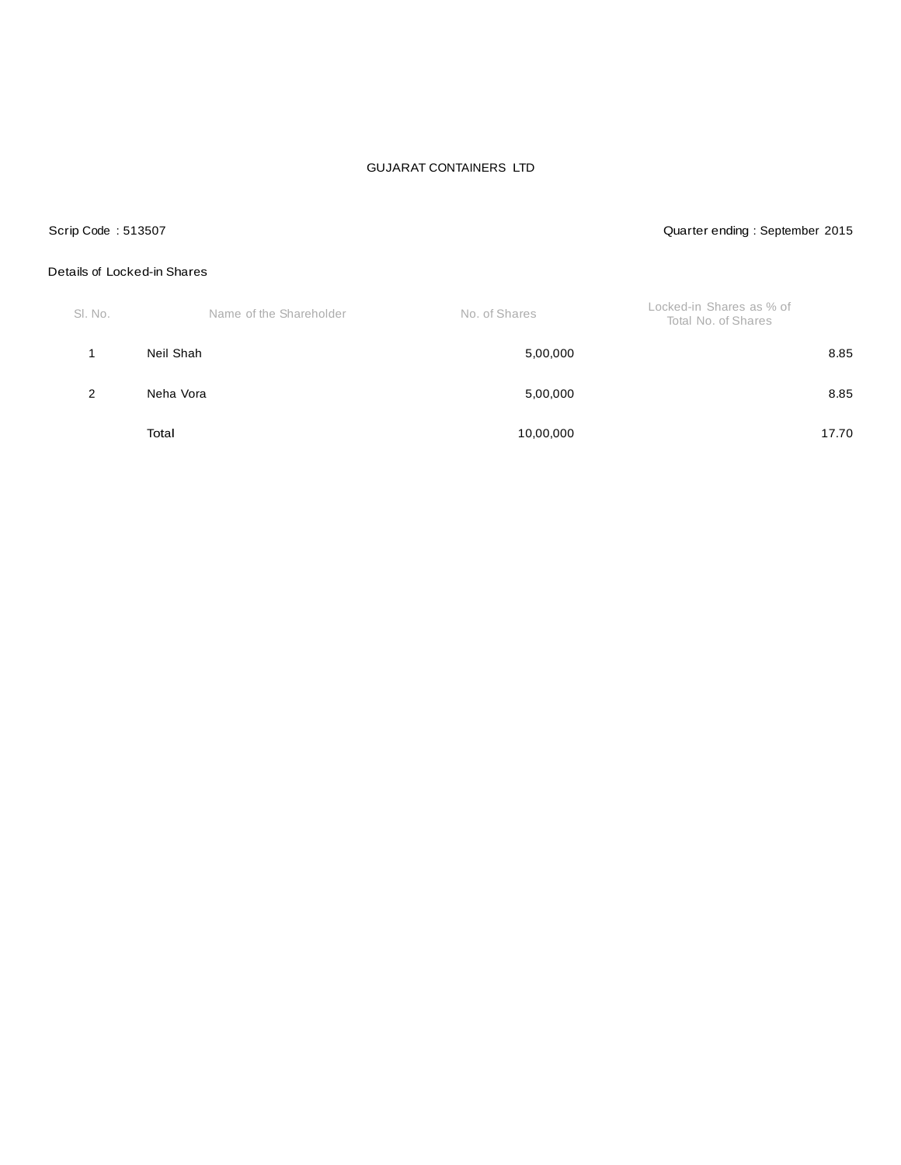### Scrip Code : 513507 Quarter ending : September 2015

### Details of Locked-in Shares

| SI. No. | Name of the Shareholder | No. of Shares | Locked-in Shares as % of<br>Total No. of Shares |
|---------|-------------------------|---------------|-------------------------------------------------|
|         | Neil Shah               | 5,00,000      | 8.85                                            |
| 2       | Neha Vora               | 5,00,000      | 8.85                                            |
|         | Total                   | 10,00,000     | 17.70                                           |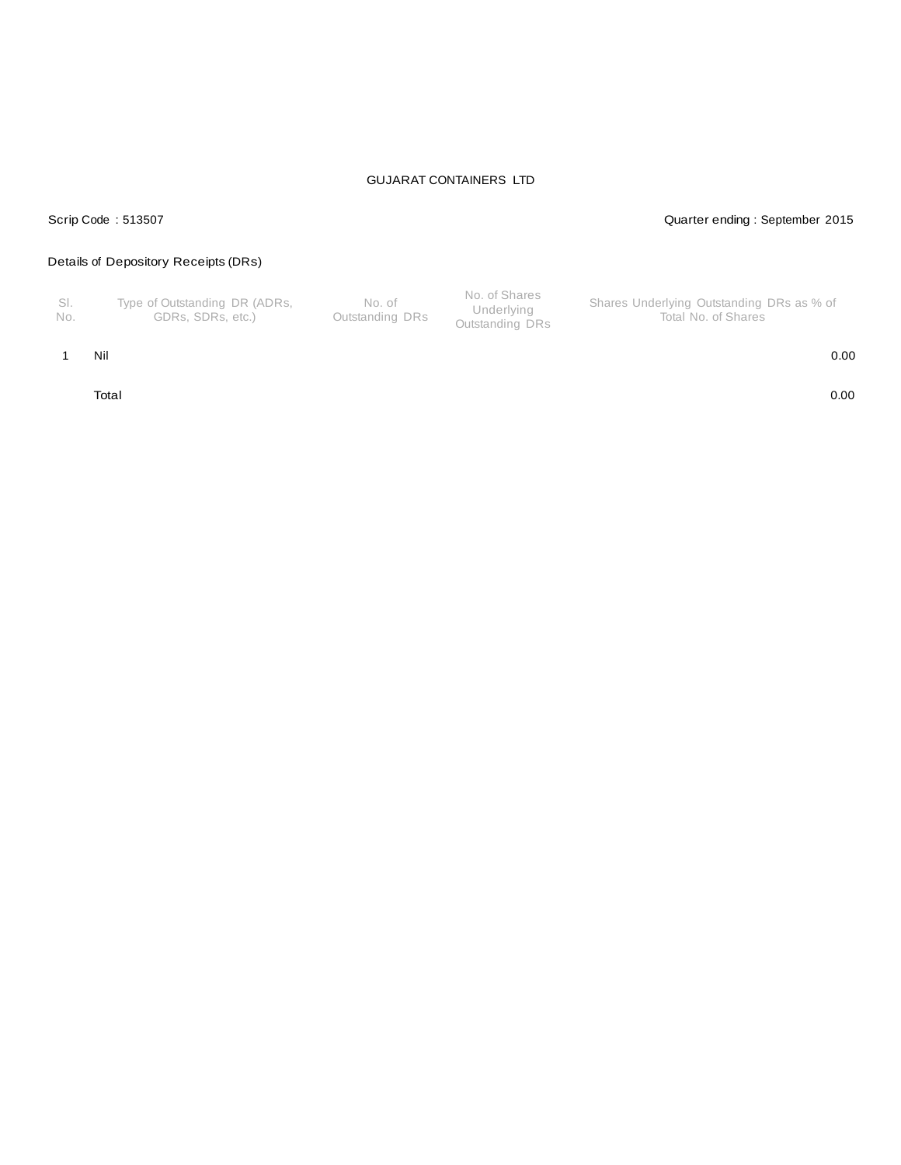## Scrip Code : 513507 Quarter ending : September 2015

## Details of Depository Receipts (DRs)

| - SI.<br>No. | Type of Outstanding DR (ADRs,<br>GDRs. SDRs. etc.) | No. of<br>Outstanding DRs | No. of Shares<br>Underlying<br>Outstanding DRs | Shares Underlying Outstanding DRs as % of<br>Total No. of Shares |
|--------------|----------------------------------------------------|---------------------------|------------------------------------------------|------------------------------------------------------------------|
|--------------|----------------------------------------------------|---------------------------|------------------------------------------------|------------------------------------------------------------------|

1 Nil 0.00

Total 0.00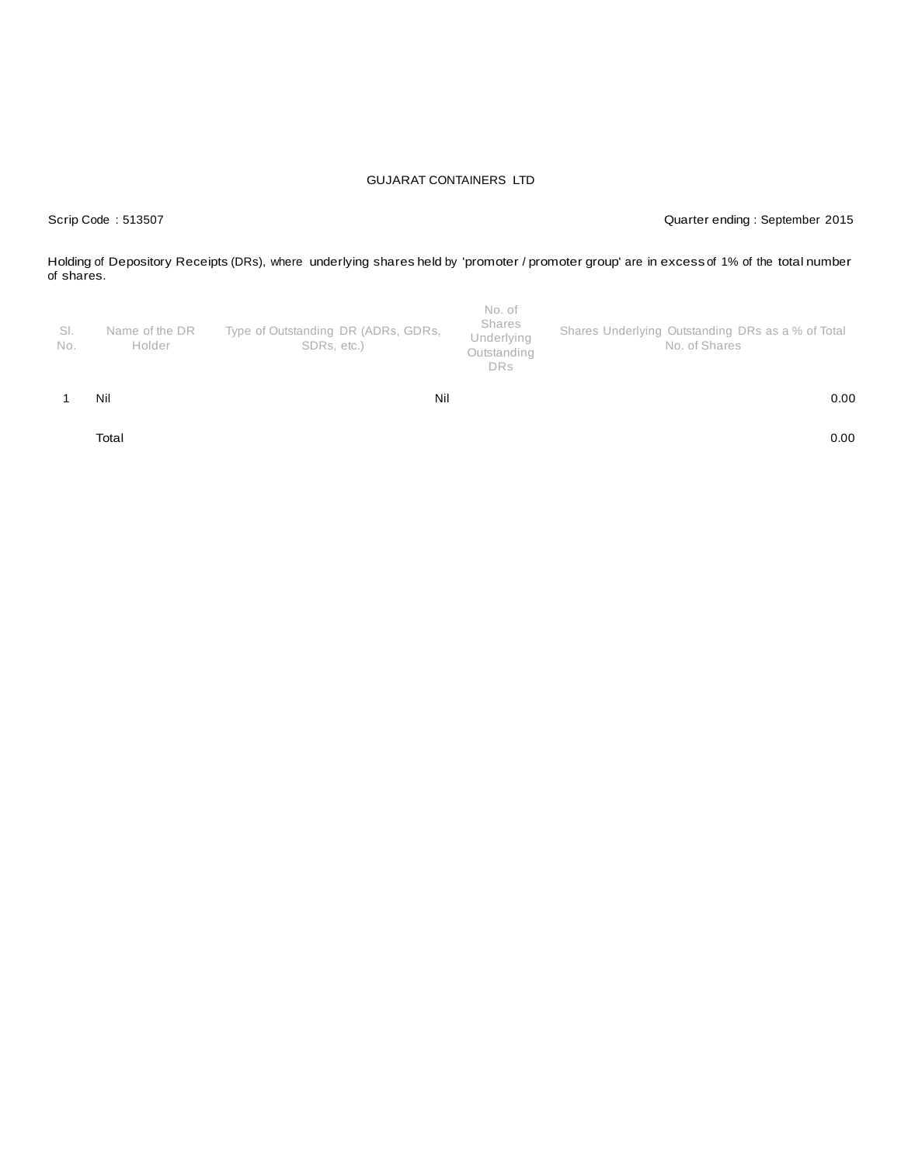Scrip Code : 513507 Quarter ending : September 2015

Holding of Depository Receipts (DRs), where underlying shares held by 'promoter / promoter group' are in excess of 1% of the total number of shares.

| SI.<br>No. | Name of the DR<br>Holder | Type of Outstanding DR (ADRs, GDRs,<br>SDRs, etc.) | No. of<br>Shares<br>Underlying<br>Outstanding<br><b>DRs</b> | Shares Underlying Outstanding DRs as a % of Total<br>No. of Shares |
|------------|--------------------------|----------------------------------------------------|-------------------------------------------------------------|--------------------------------------------------------------------|
|            | Nil                      | Nil                                                |                                                             | 0.00                                                               |

Total 0.00